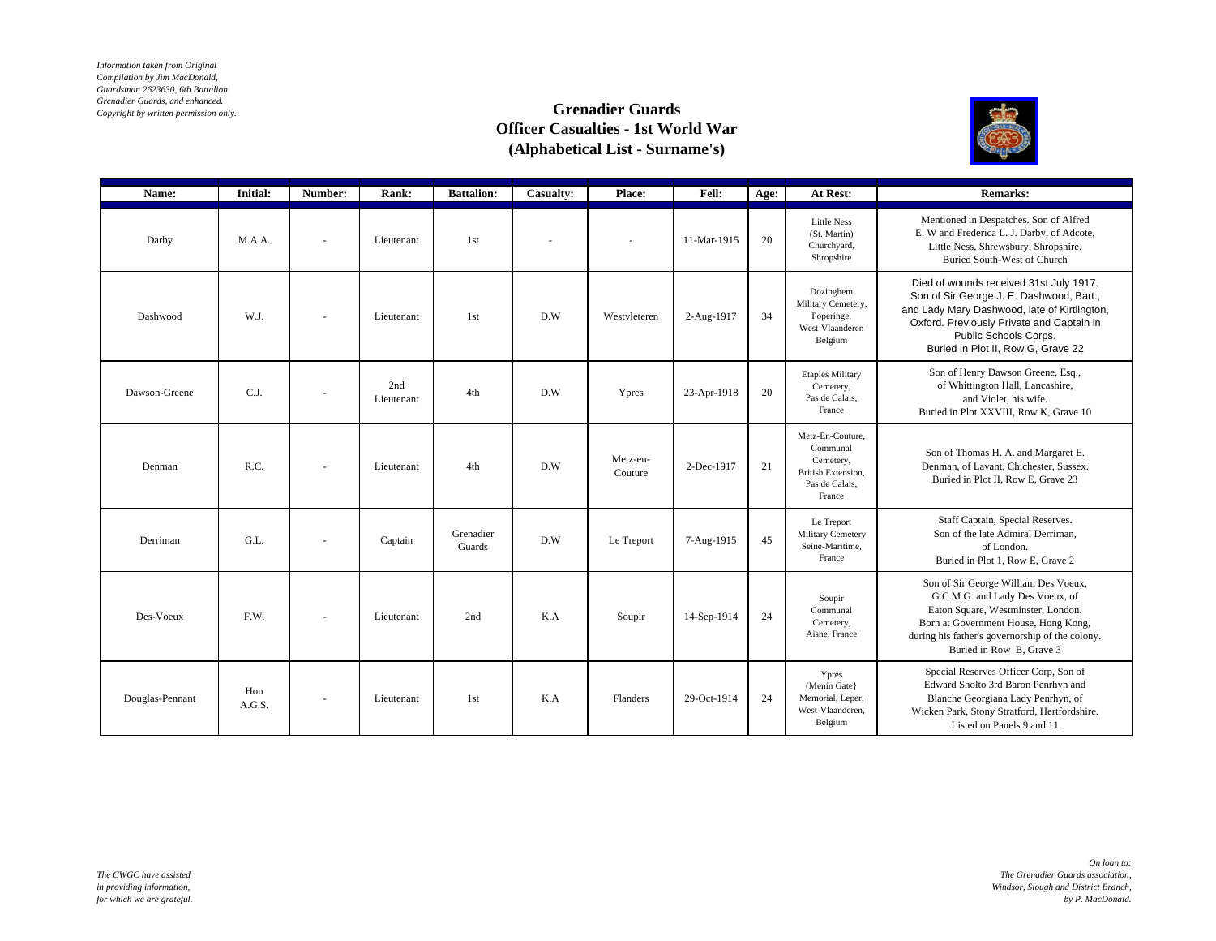*Information taken from Original Compilation by Jim MacDonald, Guardsman 2623630, 6th Battalion Grenadier Guards, and enhanced. Copyright by written permission only.*

## **Grenadier Guards Officer Casualties - 1st World War (Alphabetical List - Surname's)**



| Name:           | <b>Initial:</b> | Number:                  | Rank:             | <b>Battalion:</b>   | Casualty: | Place:              | Fell:       | Age: | At Rest:                                                                                           | <b>Remarks:</b>                                                                                                                                                                                                                                 |
|-----------------|-----------------|--------------------------|-------------------|---------------------|-----------|---------------------|-------------|------|----------------------------------------------------------------------------------------------------|-------------------------------------------------------------------------------------------------------------------------------------------------------------------------------------------------------------------------------------------------|
| Darby           | M.A.A.          | $\overline{\phantom{a}}$ | Lieutenant        | 1st                 |           | $\sim$              | 11-Mar-1915 | 20   | <b>Little Ness</b><br>(St. Martin)<br>Churchyard,<br>Shropshire                                    | Mentioned in Despatches. Son of Alfred<br>E. W and Frederica L. J. Darby, of Adcote,<br>Little Ness, Shrewsbury, Shropshire.<br>Buried South-West of Church                                                                                     |
| Dashwood        | W.J.            |                          | Lieutenant        | 1st                 | D.W       | Westyleteren        | 2-Aug-1917  | 34   | Dozinghem<br>Military Cemetery,<br>Poperinge,<br>West-Vlaanderen<br>Belgium                        | Died of wounds received 31st July 1917.<br>Son of Sir George J. E. Dashwood, Bart.,<br>and Lady Mary Dashwood, late of Kirtlington,<br>Oxford. Previously Private and Captain in<br>Public Schools Corps.<br>Buried in Plot II, Row G, Grave 22 |
| Dawson-Greene   | C.J.            | $\overline{\phantom{a}}$ | 2nd<br>Lieutenant | 4th                 | D.W       | Ypres               | 23-Apr-1918 | 20   | <b>Etaples Military</b><br>Cemetery,<br>Pas de Calais,<br>France                                   | Son of Henry Dawson Greene, Esq.,<br>of Whittington Hall, Lancashire,<br>and Violet, his wife.<br>Buried in Plot XXVIII, Row K, Grave 10                                                                                                        |
| Denman          | R.C.            | $\sim$                   | Lieutenant        | 4th                 | D.W       | Metz-en-<br>Couture | 2-Dec-1917  | 21   | Metz-En-Couture.<br>Communal<br>Cemetery,<br><b>British Extension.</b><br>Pas de Calais.<br>France | Son of Thomas H. A. and Margaret E.<br>Denman, of Lavant, Chichester, Sussex.<br>Buried in Plot II, Row E, Grave 23                                                                                                                             |
| Derriman        | G.L.            | $\overline{\phantom{a}}$ | Captain           | Grenadier<br>Guards | D.W       | Le Treport          | 7-Aug-1915  | 45   | Le Treport<br>Military Cemetery<br>Seine-Maritime.<br>France                                       | Staff Captain, Special Reserves.<br>Son of the late Admiral Derriman,<br>of London.<br>Buried in Plot 1, Row E, Grave 2                                                                                                                         |
| Des-Voeux       | F.W.            | $\overline{\phantom{a}}$ | Lieutenant        | 2nd                 | K.A       | Soupir              | 14-Sep-1914 | 24   | Soupir<br>Communal<br>Cemetery,<br>Aisne, France                                                   | Son of Sir George William Des Voeux,<br>G.C.M.G. and Lady Des Voeux, of<br>Eaton Square, Westminster, London.<br>Born at Government House, Hong Kong,<br>during his father's governorship of the colony.<br>Buried in Row B. Grave 3            |
| Douglas-Pennant | Hon<br>A.G.S.   | $\overline{\phantom{a}}$ | Lieutenant        | 1st                 | K.A       | Flanders            | 29-Oct-1914 | 24   | Ypres<br>(Menin Gate)<br>Memorial, Leper,<br>West-Vlaanderen.<br>Belgium                           | Special Reserves Officer Corp, Son of<br>Edward Sholto 3rd Baron Penrhyn and<br>Blanche Georgiana Lady Penrhyn, of<br>Wicken Park, Stony Stratford, Hertfordshire.<br>Listed on Panels 9 and 11                                                 |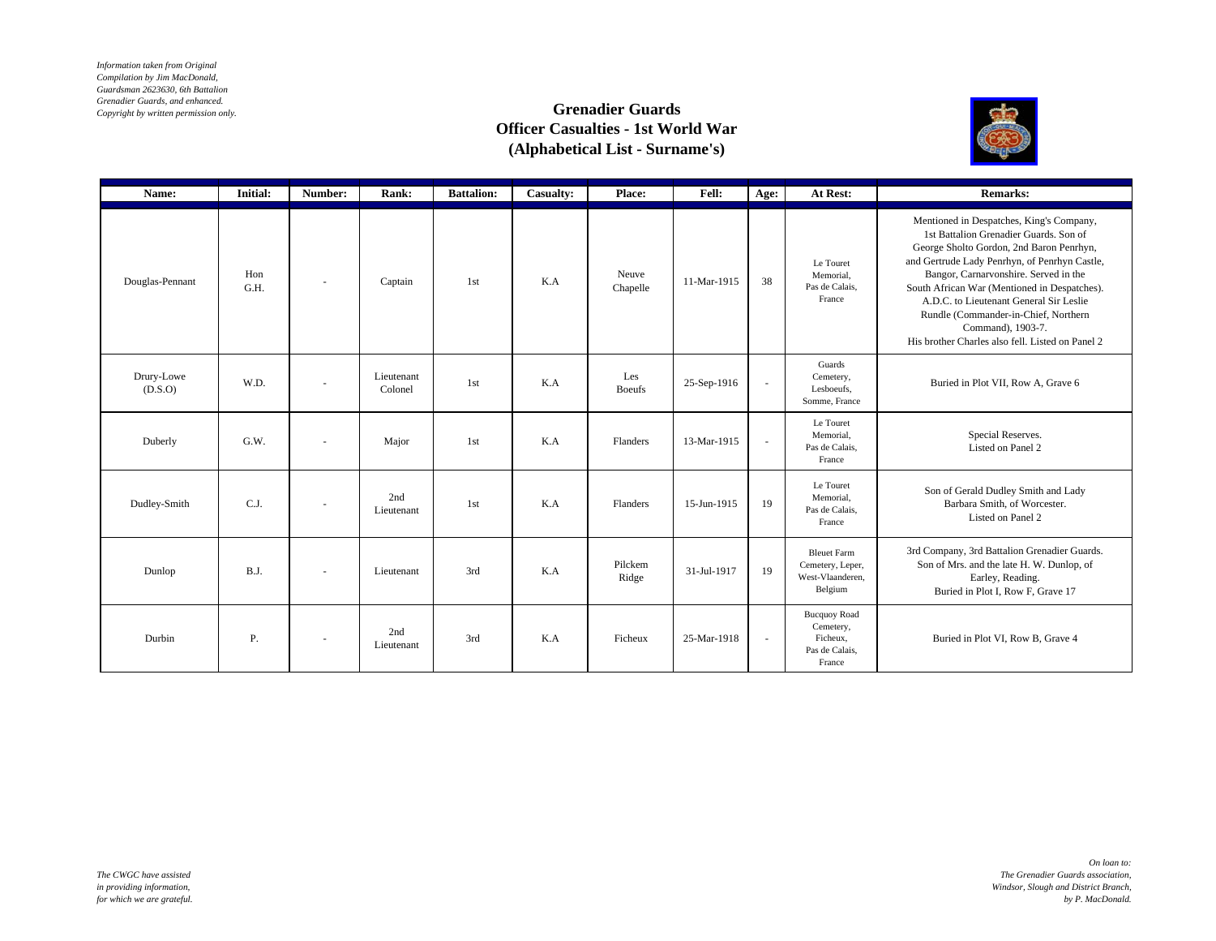*Information taken from Original Compilation by Jim MacDonald, Guardsman 2623630, 6th Battalion Grenadier Guards, and enhanced. Copyright by written permission only.*

## **Grenadier Guards Officer Casualties - 1st World War (Alphabetical List - Surname's)**



| Name:                 | <b>Initial:</b> | Number:                  | Rank:                 | <b>Battalion:</b> | Casualty: | Place:               | Fell:       | Age:                     | At Rest:                                                                 | <b>Remarks:</b>                                                                                                                                                                                                                                                                                                                                                                                                                      |
|-----------------------|-----------------|--------------------------|-----------------------|-------------------|-----------|----------------------|-------------|--------------------------|--------------------------------------------------------------------------|--------------------------------------------------------------------------------------------------------------------------------------------------------------------------------------------------------------------------------------------------------------------------------------------------------------------------------------------------------------------------------------------------------------------------------------|
| Douglas-Pennant       | Hon<br>G.H.     |                          | Captain               | 1st               | K.A       | Neuve<br>Chapelle    | 11-Mar-1915 | 38                       | Le Touret<br>Memorial.<br>Pas de Calais,<br>France                       | Mentioned in Despatches, King's Company,<br>1st Battalion Grenadier Guards, Son of<br>George Sholto Gordon, 2nd Baron Penrhyn,<br>and Gertrude Lady Penrhyn, of Penrhyn Castle,<br>Bangor, Carnarvonshire. Served in the<br>South African War (Mentioned in Despatches).<br>A.D.C. to Lieutenant General Sir Leslie<br>Rundle (Commander-in-Chief, Northern<br>Command), 1903-7.<br>His brother Charles also fell. Listed on Panel 2 |
| Drury-Lowe<br>(D.S.O) | W.D.            | $\overline{\phantom{a}}$ | Lieutenant<br>Colonel | 1st               | K.A       | Les<br><b>Boeufs</b> | 25-Sep-1916 | $\overline{\phantom{a}}$ | Guards<br>Cemetery,<br>Lesboeufs.<br>Somme, France                       | Buried in Plot VII, Row A, Grave 6                                                                                                                                                                                                                                                                                                                                                                                                   |
| Duberly               | G.W.            | $\overline{\phantom{a}}$ | Major                 | 1st               | K.A       | Flanders             | 13-Mar-1915 | $\mathbf{r}$             | Le Touret<br>Memorial.<br>Pas de Calais.<br>France                       | Special Reserves.<br>Listed on Panel 2                                                                                                                                                                                                                                                                                                                                                                                               |
| Dudley-Smith          | C.J.            | $\overline{\phantom{a}}$ | 2nd<br>Lieutenant     | 1st               | K.A       | Flanders             | 15-Jun-1915 | 19                       | Le Touret<br>Memorial.<br>Pas de Calais,<br>France                       | Son of Gerald Dudley Smith and Lady<br>Barbara Smith, of Worcester.<br>Listed on Panel 2                                                                                                                                                                                                                                                                                                                                             |
| Dunlop                | B.J.            | $\overline{\phantom{a}}$ | Lieutenant            | 3rd               | K.A       | Pilckem<br>Ridge     | 31-Jul-1917 | 19                       | <b>Bleuet Farm</b><br>Cemetery, Leper,<br>West-Vlaanderen,<br>Belgium    | 3rd Company, 3rd Battalion Grenadier Guards.<br>Son of Mrs. and the late H. W. Dunlop, of<br>Earley, Reading.<br>Buried in Plot I, Row F, Grave 17                                                                                                                                                                                                                                                                                   |
| Durbin                | Ρ.              | $\overline{\phantom{a}}$ | 2nd<br>Lieutenant     | 3rd               | K.A       | Ficheux              | 25-Mar-1918 | ×.                       | <b>Bucquoy Road</b><br>Cemetery,<br>Ficheux.<br>Pas de Calais,<br>France | Buried in Plot VI, Row B, Grave 4                                                                                                                                                                                                                                                                                                                                                                                                    |